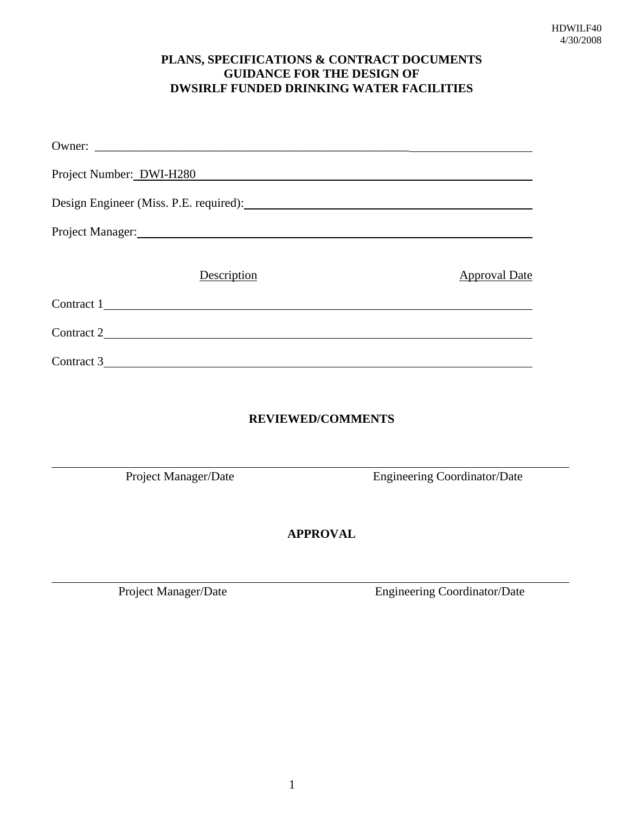# **PLANS, SPECIFICATIONS & CONTRACT DOCUMENTS GUIDANCE FOR THE DESIGN OF DWSIRLF FUNDED DRINKING WATER FACILITIES**

| Project Number: DWI-H280                                                                                                                                                                                                       |                                     |  |  |  |
|--------------------------------------------------------------------------------------------------------------------------------------------------------------------------------------------------------------------------------|-------------------------------------|--|--|--|
|                                                                                                                                                                                                                                |                                     |  |  |  |
| Project Manager: National Communication of the Communication of the Communication of the Communication of the Communication of the Communication of the Communication of the Communication of the Communication of the Communi |                                     |  |  |  |
| Description                                                                                                                                                                                                                    | <b>Approval Date</b>                |  |  |  |
| Contract 1                                                                                                                                                                                                                     |                                     |  |  |  |
| Contract 2                                                                                                                                                                                                                     |                                     |  |  |  |
| Contract 3                                                                                                                                                                                                                     |                                     |  |  |  |
|                                                                                                                                                                                                                                |                                     |  |  |  |
| <b>REVIEWED/COMMENTS</b>                                                                                                                                                                                                       |                                     |  |  |  |
|                                                                                                                                                                                                                                |                                     |  |  |  |
| Project Manager/Date                                                                                                                                                                                                           | <b>Engineering Coordinator/Date</b> |  |  |  |
|                                                                                                                                                                                                                                |                                     |  |  |  |

**APPROVAL**

 $\overline{a}$ 

Project Manager/Date Engineering Coordinator/Date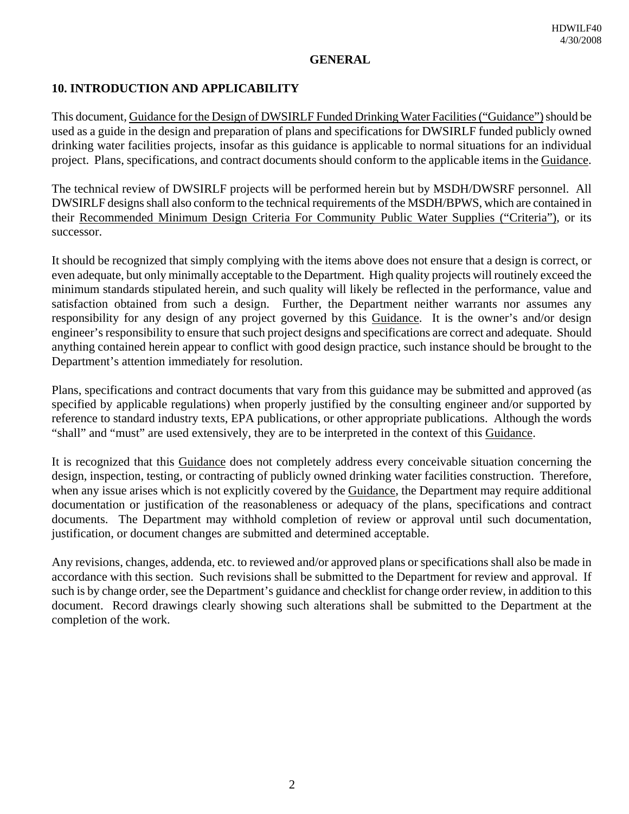### **GENERAL**

# **10. INTRODUCTION AND APPLICABILITY**

This document, Guidance for the Design of DWSIRLF Funded Drinking Water Facilities ("Guidance") should be used as a guide in the design and preparation of plans and specifications for DWSIRLF funded publicly owned drinking water facilities projects, insofar as this guidance is applicable to normal situations for an individual project. Plans, specifications, and contract documents should conform to the applicable items in the Guidance.

The technical review of DWSIRLF projects will be performed herein but by MSDH/DWSRF personnel. All DWSIRLF designs shall also conform to the technical requirements of the MSDH/BPWS, which are contained in their Recommended Minimum Design Criteria For Community Public Water Supplies ("Criteria"), or its successor.

It should be recognized that simply complying with the items above does not ensure that a design is correct, or even adequate, but only minimally acceptable to the Department. High quality projects will routinely exceed the minimum standards stipulated herein, and such quality will likely be reflected in the performance, value and satisfaction obtained from such a design. Further, the Department neither warrants nor assumes any responsibility for any design of any project governed by this Guidance. It is the owner's and/or design engineer's responsibility to ensure that such project designs and specifications are correct and adequate. Should anything contained herein appear to conflict with good design practice, such instance should be brought to the Department's attention immediately for resolution.

Plans, specifications and contract documents that vary from this guidance may be submitted and approved (as specified by applicable regulations) when properly justified by the consulting engineer and/or supported by reference to standard industry texts, EPA publications, or other appropriate publications. Although the words "shall" and "must" are used extensively, they are to be interpreted in the context of this Guidance.

It is recognized that this Guidance does not completely address every conceivable situation concerning the design, inspection, testing, or contracting of publicly owned drinking water facilities construction. Therefore, when any issue arises which is not explicitly covered by the Guidance, the Department may require additional documentation or justification of the reasonableness or adequacy of the plans, specifications and contract documents. The Department may withhold completion of review or approval until such documentation, justification, or document changes are submitted and determined acceptable.

Any revisions, changes, addenda, etc. to reviewed and/or approved plans or specifications shall also be made in accordance with this section. Such revisions shall be submitted to the Department for review and approval. If such is by change order, see the Department's guidance and checklist for change order review, in addition to this document. Record drawings clearly showing such alterations shall be submitted to the Department at the completion of the work.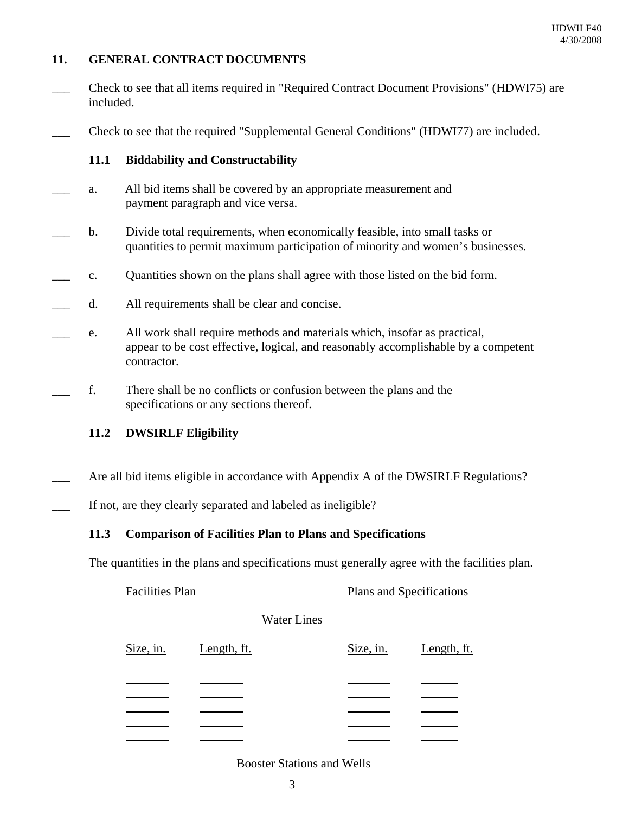# **11. GENERAL CONTRACT DOCUMENTS**

\_\_\_ Check to see that all items required in "Required Contract Document Provisions" (HDWI75) are included.

\_\_\_ Check to see that the required "Supplemental General Conditions" (HDWI77) are included.

### **11.1 Biddability and Constructability**

- a. All bid items shall be covered by an appropriate measurement and payment paragraph and vice versa.
- b. Divide total requirements, when economically feasible, into small tasks or quantities to permit maximum participation of minority and women's businesses.
- \_\_\_ c. Quantities shown on the plans shall agree with those listed on the bid form.
- d. All requirements shall be clear and concise.
- e. All work shall require methods and materials which, insofar as practical, appear to be cost effective, logical, and reasonably accomplishable by a competent contractor.
- \_\_\_ f. There shall be no conflicts or confusion between the plans and the specifications or any sections thereof.

#### **11.2 DWSIRLF Eligibility**

Are all bid items eligible in accordance with Appendix A of the DWSIRLF Regulations?

If not, are they clearly separated and labeled as ineligible?

# **11.3 Comparison of Facilities Plan to Plans and Specifications**

The quantities in the plans and specifications must generally agree with the facilities plan.

| <b>Facilities Plan</b> | Plans and Specifications |
|------------------------|--------------------------|
|                        |                          |

Water Lines

| Size, in. Length, ft. |  | Size, in. | Length, ft. |
|-----------------------|--|-----------|-------------|
|                       |  |           |             |
|                       |  |           |             |
|                       |  |           |             |
|                       |  |           |             |
|                       |  |           |             |
|                       |  |           |             |

#### Booster Stations and Wells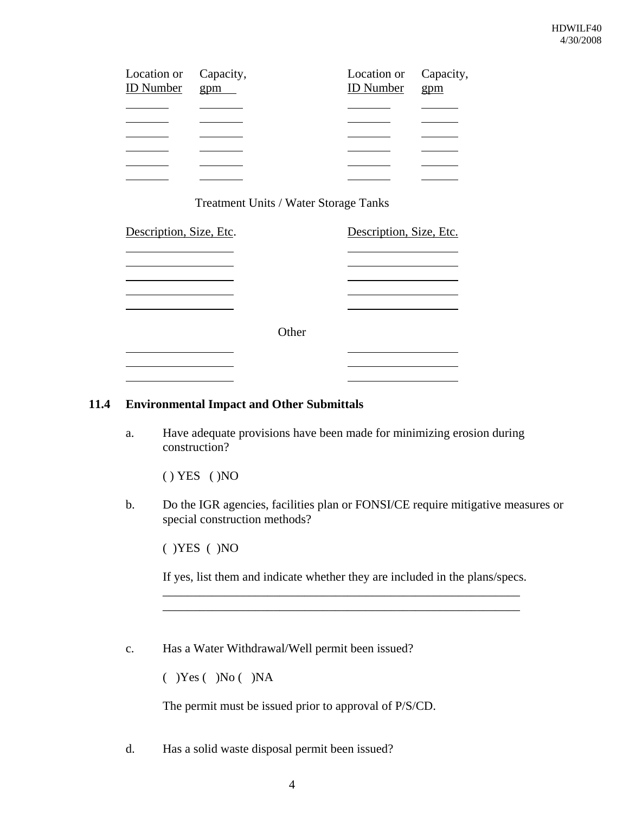| Location or Capacity,<br>ID Number gpm | Location or Capacity,<br><b>ID</b> Number gpm |  |
|----------------------------------------|-----------------------------------------------|--|
|                                        |                                               |  |
|                                        |                                               |  |
|                                        |                                               |  |
|                                        |                                               |  |
|                                        |                                               |  |
|                                        |                                               |  |

### Treatment Units / Water Storage Tanks

| Description, Size, Etc. |       | Description, Size, Etc. |
|-------------------------|-------|-------------------------|
|                         |       |                         |
|                         | Other |                         |
|                         |       |                         |
|                         |       |                         |

#### **11.4 Environmental Impact and Other Submittals**

a. Have adequate provisions have been made for minimizing erosion during construction?

( ) YES ( )NO

b. Do the IGR agencies, facilities plan or FONSI/CE require mitigative measures or special construction methods?

( )YES ( )NO

If yes, list them and indicate whether they are included in the plans/specs. \_\_\_\_\_\_\_\_\_\_\_\_\_\_\_\_\_\_\_\_\_\_\_\_\_\_\_\_\_\_\_\_\_\_\_\_\_\_\_\_\_\_\_\_\_\_\_\_\_\_\_\_\_\_\_\_\_\_

\_\_\_\_\_\_\_\_\_\_\_\_\_\_\_\_\_\_\_\_\_\_\_\_\_\_\_\_\_\_\_\_\_\_\_\_\_\_\_\_\_\_\_\_\_\_\_\_\_\_\_\_\_\_\_\_\_\_

c. Has a Water Withdrawal/Well permit been issued?

 $( )$ Yes  $( )$ No  $( )$ NA

The permit must be issued prior to approval of P/S/CD.

d. Has a solid waste disposal permit been issued?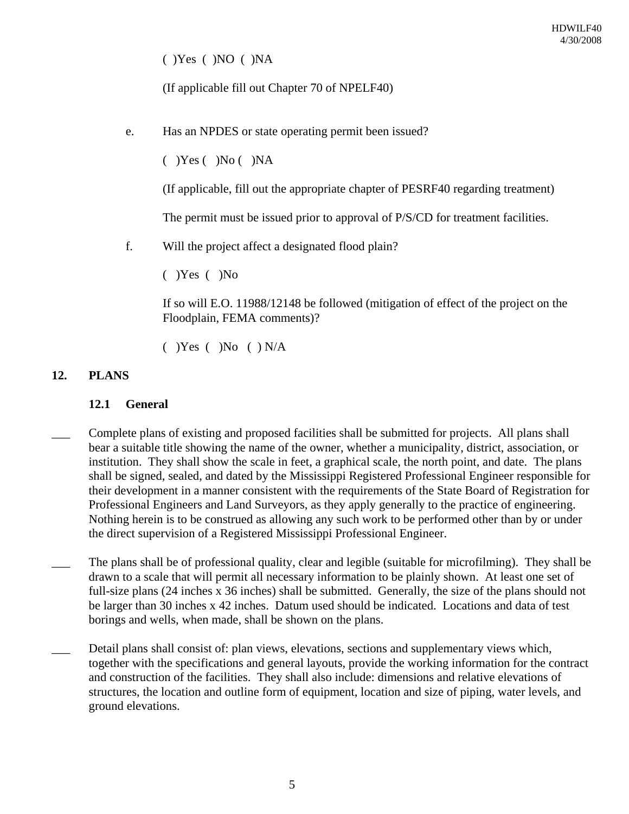( )Yes ( )NO ( )NA

(If applicable fill out Chapter 70 of NPELF40)

e. Has an NPDES or state operating permit been issued?

 $(Y)$ Yes  $(Y)$ No  $(Y)$ NA

(If applicable, fill out the appropriate chapter of PESRF40 regarding treatment)

The permit must be issued prior to approval of P/S/CD for treatment facilities.

f. Will the project affect a designated flood plain?

( )Yes ( )No

If so will E.O. 11988/12148 be followed (mitigation of effect of the project on the Floodplain, FEMA comments)?

 $(Y)$ Yes  $(Y)$ No  $(Y)$ N/A

# **12. PLANS**

# **12.1 General**

- Complete plans of existing and proposed facilities shall be submitted for projects. All plans shall bear a suitable title showing the name of the owner, whether a municipality, district, association, or institution. They shall show the scale in feet, a graphical scale, the north point, and date. The plans shall be signed, sealed, and dated by the Mississippi Registered Professional Engineer responsible for their development in a manner consistent with the requirements of the State Board of Registration for Professional Engineers and Land Surveyors, as they apply generally to the practice of engineering. Nothing herein is to be construed as allowing any such work to be performed other than by or under the direct supervision of a Registered Mississippi Professional Engineer.
- The plans shall be of professional quality, clear and legible (suitable for microfilming). They shall be drawn to a scale that will permit all necessary information to be plainly shown. At least one set of full-size plans (24 inches x 36 inches) shall be submitted. Generally, the size of the plans should not be larger than 30 inches x 42 inches. Datum used should be indicated. Locations and data of test borings and wells, when made, shall be shown on the plans.
- Detail plans shall consist of: plan views, elevations, sections and supplementary views which, together with the specifications and general layouts, provide the working information for the contract and construction of the facilities. They shall also include: dimensions and relative elevations of structures, the location and outline form of equipment, location and size of piping, water levels, and ground elevations.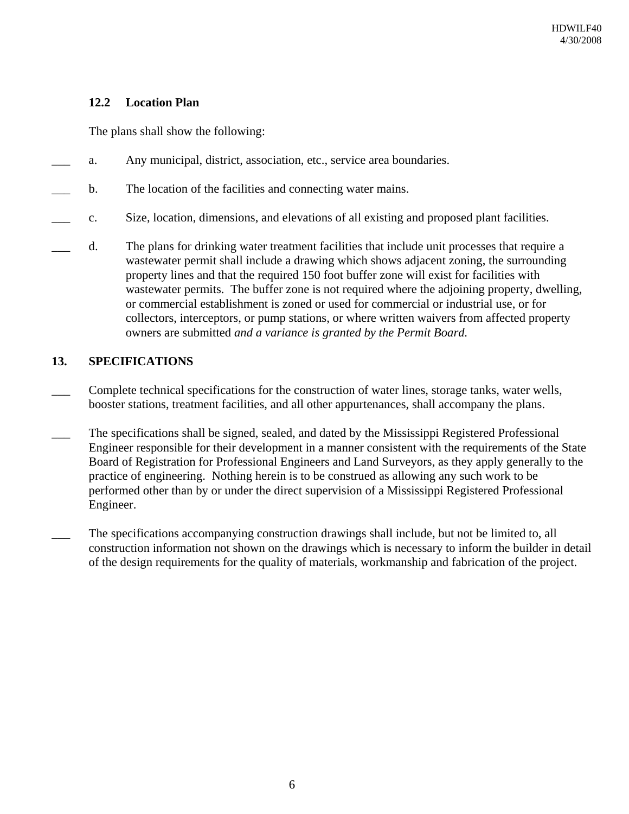# **12.2 Location Plan**

The plans shall show the following:

- \_\_\_ a. Any municipal, district, association, etc., service area boundaries.
- b. The location of the facilities and connecting water mains.
- \_\_\_ c. Size, location, dimensions, and elevations of all existing and proposed plant facilities.
- \_\_\_ d. The plans for drinking water treatment facilities that include unit processes that require a wastewater permit shall include a drawing which shows adjacent zoning, the surrounding property lines and that the required 150 foot buffer zone will exist for facilities with wastewater permits. The buffer zone is not required where the adjoining property, dwelling, or commercial establishment is zoned or used for commercial or industrial use, or for collectors, interceptors, or pump stations, or where written waivers from affected property owners are submitted *and a variance is granted by the Permit Board.*

# **13. SPECIFICATIONS**

- Complete technical specifications for the construction of water lines, storage tanks, water wells, booster stations, treatment facilities, and all other appurtenances, shall accompany the plans.
- The specifications shall be signed, sealed, and dated by the Mississippi Registered Professional Engineer responsible for their development in a manner consistent with the requirements of the State Board of Registration for Professional Engineers and Land Surveyors, as they apply generally to the practice of engineering. Nothing herein is to be construed as allowing any such work to be performed other than by or under the direct supervision of a Mississippi Registered Professional Engineer.
- The specifications accompanying construction drawings shall include, but not be limited to, all construction information not shown on the drawings which is necessary to inform the builder in detail of the design requirements for the quality of materials, workmanship and fabrication of the project.